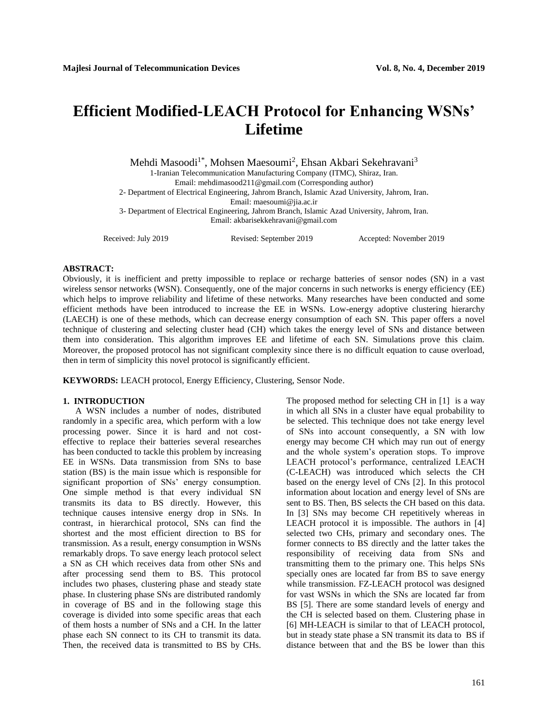# **Efficient Modified-LEACH Protocol for Enhancing WSNs' Lifetime**

Mehdi Masoodi<sup>1\*</sup>, Mohsen Maesoumi<sup>2</sup>, Ehsan Akbari Sekehravani<sup>3</sup>

1-Iranian Telecommunication Manufacturing Company (ITMC), Shiraz, Iran.

Email: mehdimasood211@gmail.com (Corresponding author)

2- Department of Electrical Engineering, Jahrom Branch, Islamic Azad University, Jahrom, Iran.

Email: maesoumi@jia.ac.ir

3- Department of Electrical Engineering, Jahrom Branch, Islamic Azad University, Jahrom, Iran. Email: [akbarisekkehravani@gmail.com](mailto:akbarisekkehravani@gmail.com)

Received: July 2019 Revised: September 2019 Accepted: November 2019

# **ABSTRACT:**

Obviously, it is inefficient and pretty impossible to replace or recharge batteries of sensor nodes (SN) in a vast wireless sensor networks (WSN). Consequently, one of the major concerns in such networks is energy efficiency (EE) which helps to improve reliability and lifetime of these networks. Many researches have been conducted and some efficient methods have been introduced to increase the EE in WSNs. Low-energy adoptive clustering hierarchy (LAECH) is one of these methods, which can decrease energy consumption of each SN. This paper offers a novel technique of clustering and selecting cluster head (CH) which takes the energy level of SNs and distance between them into consideration. This algorithm improves EE and lifetime of each SN. Simulations prove this claim. Moreover, the proposed protocol has not significant complexity since there is no difficult equation to cause overload, then in term of simplicity this novel protocol is significantly efficient.

**KEYWORDS:** LEACH protocol, Energy Efficiency, Clustering, Sensor Node.

# **1. INTRODUCTION**

A WSN includes a number of nodes, distributed randomly in a specific area, which perform with a low processing power. Since it is hard and not costeffective to replace their batteries several researches has been conducted to tackle this problem by increasing EE in WSNs. Data transmission from SNs to base station (BS) is the main issue which is responsible for significant proportion of SNs' energy consumption. One simple method is that every individual SN transmits its data to BS directly. However, this technique causes intensive energy drop in SNs. In contrast, in hierarchical protocol, SNs can find the shortest and the most efficient direction to BS for transmission. As a result, energy consumption in WSNs remarkably drops. To save energy leach protocol select a SN as CH which receives data from other SNs and after processing send them to BS. This protocol includes two phases, clustering phase and steady state phase. In clustering phase SNs are distributed randomly in coverage of BS and in the following stage this coverage is divided into some specific areas that each of them hosts a number of SNs and a CH. In the latter phase each SN connect to its CH to transmit its data. Then, the received data is transmitted to BS by CHs.

The proposed method for selecting CH in [1] is a way in which all SNs in a cluster have equal probability to be selected. This technique does not take energy level of SNs into account consequently, a SN with low energy may become CH which may run out of energy and the whole system's operation stops. To improve LEACH protocol's performance, centralized LEACH (C-LEACH) was introduced which selects the CH based on the energy level of CNs [2]. In this protocol information about location and energy level of SNs are sent to BS. Then, BS selects the CH based on this data. In [3] SNs may become CH repetitively whereas in LEACH protocol it is impossible. The authors in [4] selected two CHs, primary and secondary ones. The former connects to BS directly and the latter takes the responsibility of receiving data from SNs and transmitting them to the primary one. This helps SNs specially ones are located far from BS to save energy while transmission. FZ-LEACH protocol was designed for vast WSNs in which the SNs are located far from BS [5]. There are some standard levels of energy and the CH is selected based on them. Clustering phase in [6] MH-LEACH is similar to that of LEACH protocol, but in steady state phase a SN transmit its data to BS if distance between that and the BS be lower than this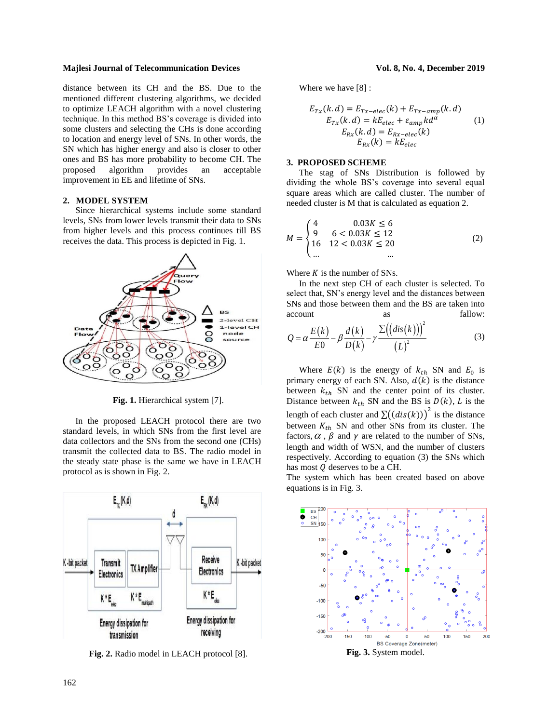### **Majlesi Journal of Telecommunication Devices Vol. 8, No. 4, December 2019**

distance between its CH and the BS. Due to the mentioned different clustering algorithms, we decided to optimize LEACH algorithm with a novel clustering technique. In this method BS's coverage is divided into some clusters and selecting the CHs is done according to location and energy level of SNs. In other words, the SN which has higher energy and also is closer to other ones and BS has more probability to become CH. The proposed algorithm provides an acceptable improvement in EE and lifetime of SNs.

# **2. MODEL SYSTEM**

Since hierarchical systems include some standard levels, SNs from lower levels transmit their data to SNs from higher levels and this process continues till BS receives the data. This process is depicted in Fig. 1.



**Fig. 1.** Hierarchical system [7].

In the proposed LEACH protocol there are two standard levels, in which SNs from the first level are data collectors and the SNs from the second one (CHs) transmit the collected data to BS. The radio model in the steady state phase is the same we have in LEACH protocol as is shown in Fig. 2.



**Fig. 2.** Radio model in LEACH protocol [8].

Where we have [8] :

$$
E_{Tx}(k,d) = E_{Tx-elec}(k) + E_{Tx-amp}(k,d)
$$
  
\n
$$
E_{Tx}(k,d) = kE_{elec} + \varepsilon_{amp}k d^{\alpha}
$$
  
\n
$$
E_{Rx}(k,d) = E_{Rx-elec}(k)
$$
  
\n
$$
E_{Rx}(k) = kE_{elec}
$$
 (1)

### **3. PROPOSED SCHEME**

The stag of SNs Distribution is followed by dividing the whole BS's coverage into several equal square areas which are called cluster. The number of needed cluster is M that is calculated as equation 2.

$$
M = \begin{cases} 4 & 0.03K \le 6 \\ 9 & 6 < 0.03K \le 12 \\ 16 & 12 < 0.03K \le 20 \\ \dots & \dots \end{cases}
$$
 (2)

Where  $K$  is the number of SNs.

In the next step CH of each cluster is selected. To select that, SN's energy level and the distances between SNs and those between them and the BS are taken into account as as fallow:

$$
Q = \alpha \frac{E(k)}{E0} - \beta \frac{d(k)}{D(k)} - \gamma \frac{\Sigma((dis(k)))^2}{(L)^2}
$$
(3)

Where  $E(k)$  is the energy of  $k_{th}$  SN and  $E_0$  is primary energy of each SN. Also,  $d(k)$  is the distance between  $k_{th}$  SN and the center point of its cluster. Distance between  $k_{th}$  SN and the BS is  $D(k)$ , L is the length of each cluster and  $\sum((dis(k)))^2$  is the distance between  $K_{th}$  SN and other SNs from its cluster. The factors,  $\alpha$ ,  $\beta$  and  $\gamma$  are related to the number of SNs, length and width of WSN, and the number of clusters respectively. According to equation (3) the SNs which has most  $O$  deserves to be a CH.

The system which has been created based on above equations is in Fig. 3.



**Fig. 3.** System model.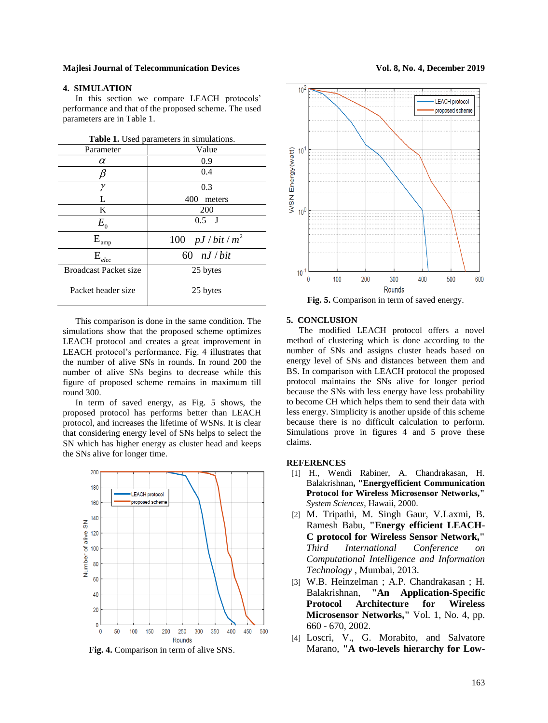#### **Majlesi Journal of Telecommunication Devices Vol. 8, No. 4, December 2019**

#### **4. SIMULATION**

In this section we compare LEACH protocols' performance and that of the proposed scheme. The used parameters are in Table 1.

| <b>rapic 1.</b> Osca parameters in simulations. |                  |
|-------------------------------------------------|------------------|
| Parameter                                       | Value            |
| $\alpha$                                        | 0.9              |
| β                                               | 0.4              |
| γ                                               | 0.3              |
| L                                               | 400<br>meters    |
| K                                               | 200              |
| $E_{0}$                                         | $0.5$ J          |
| $\mathbf{E}_{\text{amp}}$                       | 100 $pJ/bit/m^2$ |
| $\mathbf{E}_{elec}$                             | 60 $nJ/bit$      |
| <b>Broadcast Packet size</b>                    | 25 bytes         |
| Packet header size                              | 25 bytes         |

**Table 1.** Used parameters in simulations.

This comparison is done in the same condition. The simulations show that the proposed scheme optimizes LEACH protocol and creates a great improvement in LEACH protocol's performance. Fig. 4 illustrates that the number of alive SNs in rounds. In round 200 the number of alive SNs begins to decrease while this figure of proposed scheme remains in maximum till round 300.

In term of saved energy, as Fig. 5 shows, the proposed protocol has performs better than LEACH protocol, and increases the lifetime of WSNs. It is clear that considering energy level of SNs helps to select the SN which has higher energy as cluster head and keeps the SNs alive for longer time.



**Fig. 4.** Comparison in term of alive SNS.



**Fig. 5.** Comparison in term of saved energy.

# **5. CONCLUSION**

The modified LEACH protocol offers a novel method of clustering which is done according to the number of SNs and assigns cluster heads based on energy level of SNs and distances between them and BS. In comparison with LEACH protocol the proposed protocol maintains the SNs alive for longer period because the SNs with less energy have less probability to become CH which helps them to send their data with less energy. Simplicity is another upside of this scheme because there is no difficult calculation to perform. Simulations prove in figures 4 and 5 prove these claims.

# **REFERENCES**

- [1] H., Wendi Rabiner, A. Chandrakasan, H. Balakrishnan**, "Energyefficient Communication Protocol for Wireless Microsensor Networks,"** *System Sciences*, Hawaii, 2000.
- [2] M. Tripathi, M. Singh Gaur, V.Laxmi, B. Ramesh Babu, **"Energy efficient LEACH-C protocol for Wireless Sensor Network,"** *Third International Conference on Computational Intelligence and Information Technology* , Mumbai, 2013.
- [3] W.B. Heinzelman ; A.P. Chandrakasan ; H. Balakrishnan, **"An Application-Specific Protocol Architecture for Wireless Microsensor Networks,"** Vol. 1, No. 4, pp. 660 - 670, 2002.
- [4] Loscri, V., G. Morabito, and Salvatore Marano, **"A two-levels hierarchy for Low-**